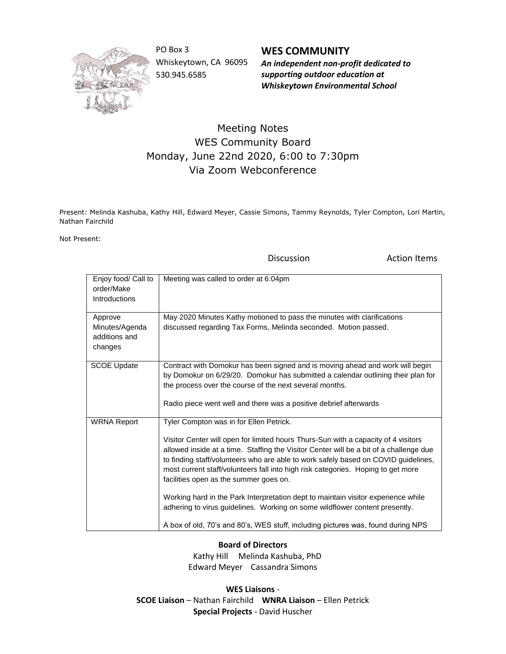

PO Box 3 Whiskeytown, CA 96095 530.945.6585

**WES COMMUNITY** *An independent non-profit dedicated to supporting outdoor education at Whiskeytown Environmental School*

## Meeting Notes WES Community Board Monday, June 22nd 2020, 6:00 to 7:30pm Via Zoom Webconference

Present: Melinda Kashuba, Kathy Hill, Edward Meyer, Cassie Simons, Tammy Reynolds, Tyler Compton, Lori Martin, Nathan Fairchild

Not Present:

Discussion **Action Items** 

| Enjoy food/ Call to<br>order/Make<br>Introductions    | Meeting was called to order at 6:04pm                                                                                                                                                                                                                                                                                                                                                                                                                                                                                                                                                                                                                                                               |
|-------------------------------------------------------|-----------------------------------------------------------------------------------------------------------------------------------------------------------------------------------------------------------------------------------------------------------------------------------------------------------------------------------------------------------------------------------------------------------------------------------------------------------------------------------------------------------------------------------------------------------------------------------------------------------------------------------------------------------------------------------------------------|
| Approve<br>Minutes/Agenda<br>additions and<br>changes | May 2020 Minutes Kathy motioned to pass the minutes with clarifications<br>discussed regarding Tax Forms, Melinda seconded. Motion passed.                                                                                                                                                                                                                                                                                                                                                                                                                                                                                                                                                          |
| <b>SCOE Update</b>                                    | Contract with Domokur has been signed and is moving ahead and work will begin<br>by Domokur on 6/29/20. Domokur has submitted a calendar outlining their plan for<br>the process over the course of the next several months.<br>Radio piece went well and there was a positive debrief afterwards                                                                                                                                                                                                                                                                                                                                                                                                   |
| <b>WRNA Report</b>                                    | Tyler Compton was in for Ellen Petrick.<br>Visitor Center will open for limited hours Thurs-Sun with a capacity of 4 visitors<br>allowed inside at a time. Staffing the Visitor Center will be a bit of a challenge due<br>to finding staff/volunteers who are able to work safely based on COVID guidelines,<br>most current staff/volunteers fall into high risk categories. Hoping to get more<br>facilities open as the summer goes on.<br>Working hard in the Park Interpretation dept to maintain visitor experience while<br>adhering to virus guidelines. Working on some wildflower content presently.<br>A box of old, 70's and 80's, WES stuff, including pictures was, found during NPS |

**Board of Directors**

 Kathy Hill Melinda Kashuba, PhD Edward Meyer Cassandra Simons

**WES Liaisons** - **SCOE Liaison** – Nathan Fairchild **WNRA Liaison** – Ellen Petrick **Special Projects** - David Huscher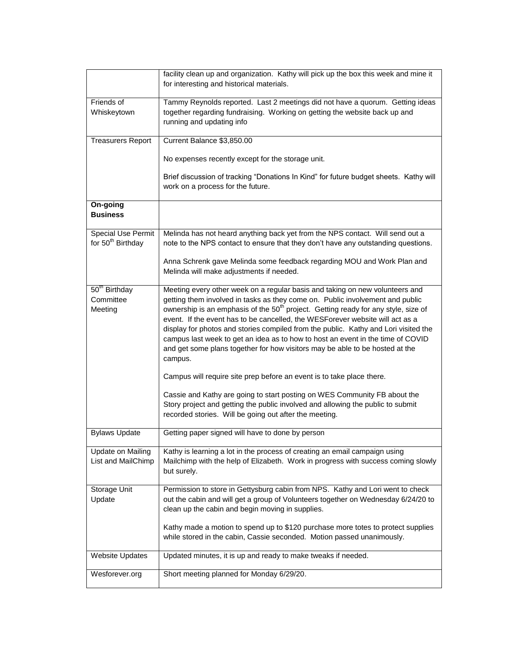|                                                            | facility clean up and organization. Kathy will pick up the box this week and mine it<br>for interesting and historical materials.                                                                                                                                                                                                                                                                                                                                                                                                                                                                                                                                                                                                                                                                                                                                                                                        |
|------------------------------------------------------------|--------------------------------------------------------------------------------------------------------------------------------------------------------------------------------------------------------------------------------------------------------------------------------------------------------------------------------------------------------------------------------------------------------------------------------------------------------------------------------------------------------------------------------------------------------------------------------------------------------------------------------------------------------------------------------------------------------------------------------------------------------------------------------------------------------------------------------------------------------------------------------------------------------------------------|
| Friends of<br>Whiskeytown                                  | Tammy Reynolds reported. Last 2 meetings did not have a quorum. Getting ideas<br>together regarding fundraising. Working on getting the website back up and<br>running and updating info                                                                                                                                                                                                                                                                                                                                                                                                                                                                                                                                                                                                                                                                                                                                 |
| <b>Treasurers Report</b>                                   | Current Balance \$3,850.00                                                                                                                                                                                                                                                                                                                                                                                                                                                                                                                                                                                                                                                                                                                                                                                                                                                                                               |
|                                                            | No expenses recently except for the storage unit.                                                                                                                                                                                                                                                                                                                                                                                                                                                                                                                                                                                                                                                                                                                                                                                                                                                                        |
|                                                            | Brief discussion of tracking "Donations In Kind" for future budget sheets. Kathy will<br>work on a process for the future.                                                                                                                                                                                                                                                                                                                                                                                                                                                                                                                                                                                                                                                                                                                                                                                               |
| On-going<br><b>Business</b>                                |                                                                                                                                                                                                                                                                                                                                                                                                                                                                                                                                                                                                                                                                                                                                                                                                                                                                                                                          |
| <b>Special Use Permit</b><br>for 50 <sup>th</sup> Birthday | Melinda has not heard anything back yet from the NPS contact. Will send out a<br>note to the NPS contact to ensure that they don't have any outstanding questions.                                                                                                                                                                                                                                                                                                                                                                                                                                                                                                                                                                                                                                                                                                                                                       |
|                                                            | Anna Schrenk gave Melinda some feedback regarding MOU and Work Plan and<br>Melinda will make adjustments if needed.                                                                                                                                                                                                                                                                                                                                                                                                                                                                                                                                                                                                                                                                                                                                                                                                      |
| 50 <sup>th</sup> Birthday<br>Committee<br>Meeting          | Meeting every other week on a regular basis and taking on new volunteers and<br>getting them involved in tasks as they come on. Public involvement and public<br>ownership is an emphasis of the 50 <sup>th</sup> project. Getting ready for any style, size of<br>event. If the event has to be cancelled, the WESForever website will act as a<br>display for photos and stories compiled from the public. Kathy and Lori visited the<br>campus last week to get an idea as to how to host an event in the time of COVID<br>and get some plans together for how visitors may be able to be hosted at the<br>campus.<br>Campus will require site prep before an event is to take place there.<br>Cassie and Kathy are going to start posting on WES Community FB about the<br>Story project and getting the public involved and allowing the public to submit<br>recorded stories. Will be going out after the meeting. |
| <b>Bylaws Update</b>                                       | Getting paper signed will have to done by person                                                                                                                                                                                                                                                                                                                                                                                                                                                                                                                                                                                                                                                                                                                                                                                                                                                                         |
| <b>Update on Mailing</b><br>List and MailChimp             | Kathy is learning a lot in the process of creating an email campaign using<br>Mailchimp with the help of Elizabeth. Work in progress with success coming slowly<br>but surely.                                                                                                                                                                                                                                                                                                                                                                                                                                                                                                                                                                                                                                                                                                                                           |
| Storage Unit<br>Update                                     | Permission to store in Gettysburg cabin from NPS. Kathy and Lori went to check<br>out the cabin and will get a group of Volunteers together on Wednesday 6/24/20 to<br>clean up the cabin and begin moving in supplies.<br>Kathy made a motion to spend up to \$120 purchase more totes to protect supplies<br>while stored in the cabin, Cassie seconded. Motion passed unanimously.                                                                                                                                                                                                                                                                                                                                                                                                                                                                                                                                    |
| <b>Website Updates</b>                                     | Updated minutes, it is up and ready to make tweaks if needed.                                                                                                                                                                                                                                                                                                                                                                                                                                                                                                                                                                                                                                                                                                                                                                                                                                                            |
|                                                            |                                                                                                                                                                                                                                                                                                                                                                                                                                                                                                                                                                                                                                                                                                                                                                                                                                                                                                                          |
| Wesforever.org                                             | Short meeting planned for Monday 6/29/20.                                                                                                                                                                                                                                                                                                                                                                                                                                                                                                                                                                                                                                                                                                                                                                                                                                                                                |